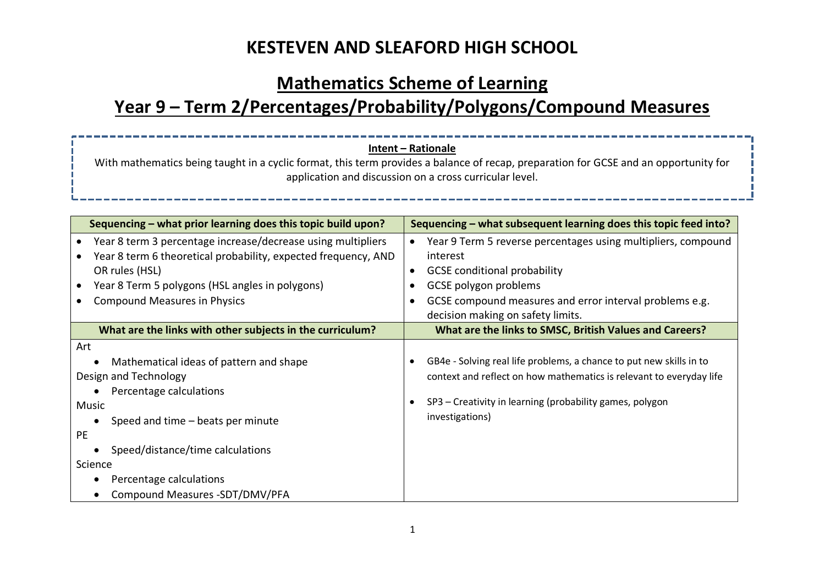### **Mathematics Scheme of Learning**

# **Year 9 – Term 2/Percentages/Probability/Polygons/Compound Measures**

#### **Intent – Rationale**

With mathematics being taught in a cyclic format, this term provides a balance of recap, preparation for GCSE and an opportunity for application and discussion on a cross curricular level.

| Sequencing – what prior learning does this topic build upon?                                                                                                                                                                                                        | Sequencing – what subsequent learning does this topic feed into?                                                                                                                                                                          |
|---------------------------------------------------------------------------------------------------------------------------------------------------------------------------------------------------------------------------------------------------------------------|-------------------------------------------------------------------------------------------------------------------------------------------------------------------------------------------------------------------------------------------|
| Year 8 term 3 percentage increase/decrease using multipliers<br>Year 8 term 6 theoretical probability, expected frequency, AND<br>OR rules (HSL)<br>Year 8 Term 5 polygons (HSL angles in polygons)<br><b>Compound Measures in Physics</b>                          | Year 9 Term 5 reverse percentages using multipliers, compound<br>interest<br><b>GCSE</b> conditional probability<br>GCSE polygon problems<br>GCSE compound measures and error interval problems e.g.<br>decision making on safety limits. |
| What are the links with other subjects in the curriculum?                                                                                                                                                                                                           | What are the links to SMSC, British Values and Careers?                                                                                                                                                                                   |
| Art<br>Mathematical ideas of pattern and shape<br>Design and Technology<br>Percentage calculations<br>Music<br>Speed and time – beats per minute<br>PE.<br>Speed/distance/time calculations<br>Science<br>Percentage calculations<br>Compound Measures -SDT/DMV/PFA | GB4e - Solving real life problems, a chance to put new skills in to<br>context and reflect on how mathematics is relevant to everyday life<br>SP3 - Creativity in learning (probability games, polygon<br>investigations)                 |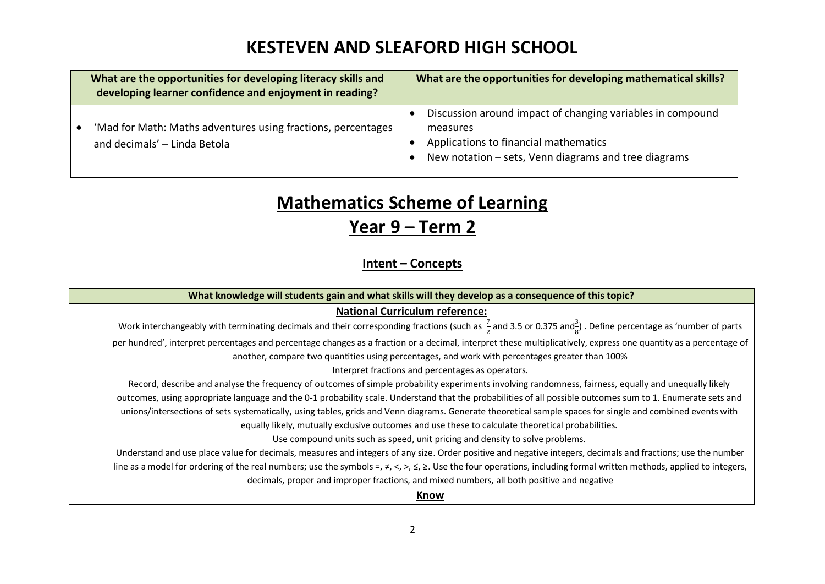| What are the opportunities for developing literacy skills and<br>developing learner confidence and enjoyment in reading? | What are the opportunities for developing mathematical skills?                                                                                                          |
|--------------------------------------------------------------------------------------------------------------------------|-------------------------------------------------------------------------------------------------------------------------------------------------------------------------|
| 'Mad for Math: Maths adventures using fractions, percentages<br>and decimals' - Linda Betola                             | Discussion around impact of changing variables in compound<br>measures<br>Applications to financial mathematics<br>New notation – sets, Venn diagrams and tree diagrams |

# **Mathematics Scheme of Learning Year 9 – Term 2**

### **Intent – Concepts**

| What knowledge will students gain and what skills will they develop as a consequence of this topic?                                                                                                                                                     |  |
|---------------------------------------------------------------------------------------------------------------------------------------------------------------------------------------------------------------------------------------------------------|--|
| <b>National Curriculum reference:</b>                                                                                                                                                                                                                   |  |
| Work interchangeably with terminating decimals and their corresponding fractions (such as $\frac{7}{2}$ and 3.5 or 0.375 and $\frac{3}{5}$ ). Define percentage as 'number of parts                                                                     |  |
| per hundred', interpret percentages and percentage changes as a fraction or a decimal, interpret these multiplicatively, express one quantity as a percentage of                                                                                        |  |
| another, compare two quantities using percentages, and work with percentages greater than 100%                                                                                                                                                          |  |
| Interpret fractions and percentages as operators.                                                                                                                                                                                                       |  |
| Record, describe and analyse the frequency of outcomes of simple probability experiments involving randomness, fairness, equally and unequally likely                                                                                                   |  |
| outcomes, using appropriate language and the 0-1 probability scale. Understand that the probabilities of all possible outcomes sum to 1. Enumerate sets and                                                                                             |  |
| unions/intersections of sets systematically, using tables, grids and Venn diagrams. Generate theoretical sample spaces for single and combined events with                                                                                              |  |
| equally likely, mutually exclusive outcomes and use these to calculate theoretical probabilities.                                                                                                                                                       |  |
| Use compound units such as speed, unit pricing and density to solve problems.                                                                                                                                                                           |  |
| Understand and use place value for decimals, measures and integers of any size. Order positive and negative integers, decimals and fractions; use the number                                                                                            |  |
| line as a model for ordering of the real numbers; use the symbols =, $\neq$ , $\lt$ , $\leq$ , $\leq$ , $\leq$ , $\leq$ , $\leq$ , $\leq$ , $\leq$ , $\leq$ , $\leq$ , $\leq$ , $\geq$ . Use the four operations, including formal written methods, app |  |
| decimals, proper and improper fractions, and mixed numbers, all both positive and negative                                                                                                                                                              |  |
| Know                                                                                                                                                                                                                                                    |  |
|                                                                                                                                                                                                                                                         |  |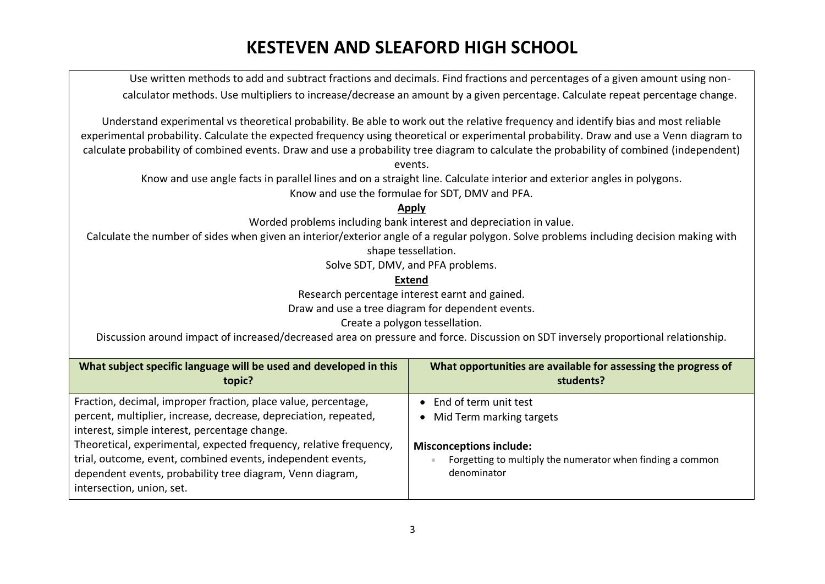Use written methods to add and subtract fractions and decimals. Find fractions and percentages of a given amount using noncalculator methods. Use multipliers to increase/decrease an amount by a given percentage. Calculate repeat percentage change.

Understand experimental vs theoretical probability. Be able to work out the relative frequency and identify bias and most reliable experimental probability. Calculate the expected frequency using theoretical or experimental probability. Draw and use a Venn diagram to calculate probability of combined events. Draw and use a probability tree diagram to calculate the probability of combined (independent)

events.

Know and use angle facts in parallel lines and on a straight line. Calculate interior and exterior angles in polygons. Know and use the formulae for SDT, DMV and PFA.

**Apply**

Worded problems including bank interest and depreciation in value.

Calculate the number of sides when given an interior/exterior angle of a regular polygon. Solve problems including decision making with shape tessellation.

Solve SDT, DMV, and PFA problems.

**Extend**

Research percentage interest earnt and gained.

Draw and use a tree diagram for dependent events.

Create a polygon tessellation.

Discussion around impact of increased/decreased area on pressure and force. Discussion on SDT inversely proportional relationship.

| What subject specific language will be used and developed in this<br>topic?                                       | What opportunities are available for assessing the progress of<br>students? |
|-------------------------------------------------------------------------------------------------------------------|-----------------------------------------------------------------------------|
| Fraction, decimal, improper fraction, place value, percentage,                                                    | • End of term unit test                                                     |
| percent, multiplier, increase, decrease, depreciation, repeated,<br>interest, simple interest, percentage change. | Mid Term marking targets                                                    |
| Theoretical, experimental, expected frequency, relative frequency,                                                | <b>Misconceptions include:</b>                                              |
| trial, outcome, event, combined events, independent events,                                                       | Forgetting to multiply the numerator when finding a common                  |
| dependent events, probability tree diagram, Venn diagram,                                                         | denominator                                                                 |
| intersection, union, set.                                                                                         |                                                                             |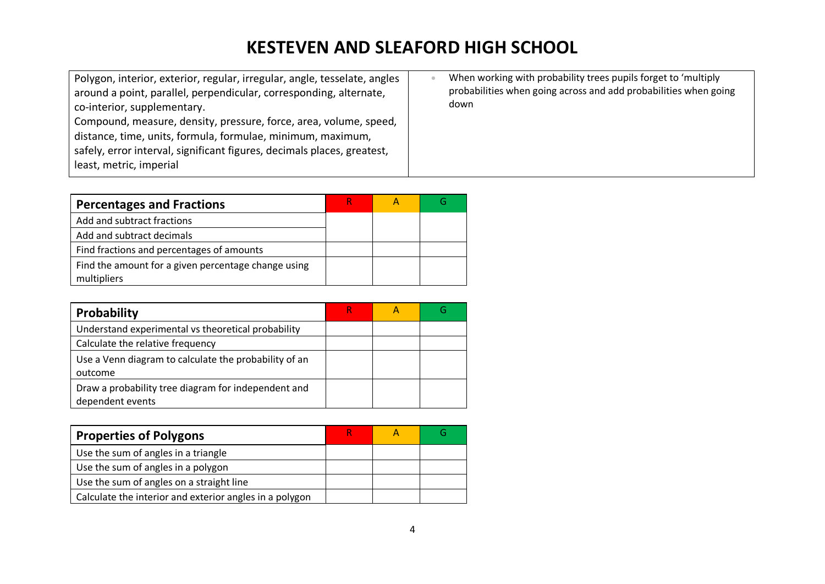| Polygon, interior, exterior, regular, irregular, angle, tesselate, angles<br>around a point, parallel, perpendicular, corresponding, alternate,<br>co-interior, supplementary.<br>Compound, measure, density, pressure, force, area, volume, speed,<br>distance, time, units, formula, formulae, minimum, maximum,<br>safely, error interval, significant figures, decimals places, greatest,<br>least, metric, imperial | When working with probability trees pupils forget to 'multiply<br>probabilities when going across and add probabilities when going<br>down |
|--------------------------------------------------------------------------------------------------------------------------------------------------------------------------------------------------------------------------------------------------------------------------------------------------------------------------------------------------------------------------------------------------------------------------|--------------------------------------------------------------------------------------------------------------------------------------------|
|--------------------------------------------------------------------------------------------------------------------------------------------------------------------------------------------------------------------------------------------------------------------------------------------------------------------------------------------------------------------------------------------------------------------------|--------------------------------------------------------------------------------------------------------------------------------------------|

| <b>Percentages and Fractions</b>                                   |  |  |
|--------------------------------------------------------------------|--|--|
| Add and subtract fractions                                         |  |  |
| Add and subtract decimals                                          |  |  |
| Find fractions and percentages of amounts                          |  |  |
| Find the amount for a given percentage change using<br>multipliers |  |  |

| Probability                                                             |  |  |
|-------------------------------------------------------------------------|--|--|
| Understand experimental vs theoretical probability                      |  |  |
| Calculate the relative frequency                                        |  |  |
| Use a Venn diagram to calculate the probability of an<br>outcome        |  |  |
| Draw a probability tree diagram for independent and<br>dependent events |  |  |

| <b>Properties of Polygons</b>                           | R |  |
|---------------------------------------------------------|---|--|
| Use the sum of angles in a triangle                     |   |  |
| Use the sum of angles in a polygon                      |   |  |
| Use the sum of angles on a straight line                |   |  |
| Calculate the interior and exterior angles in a polygon |   |  |